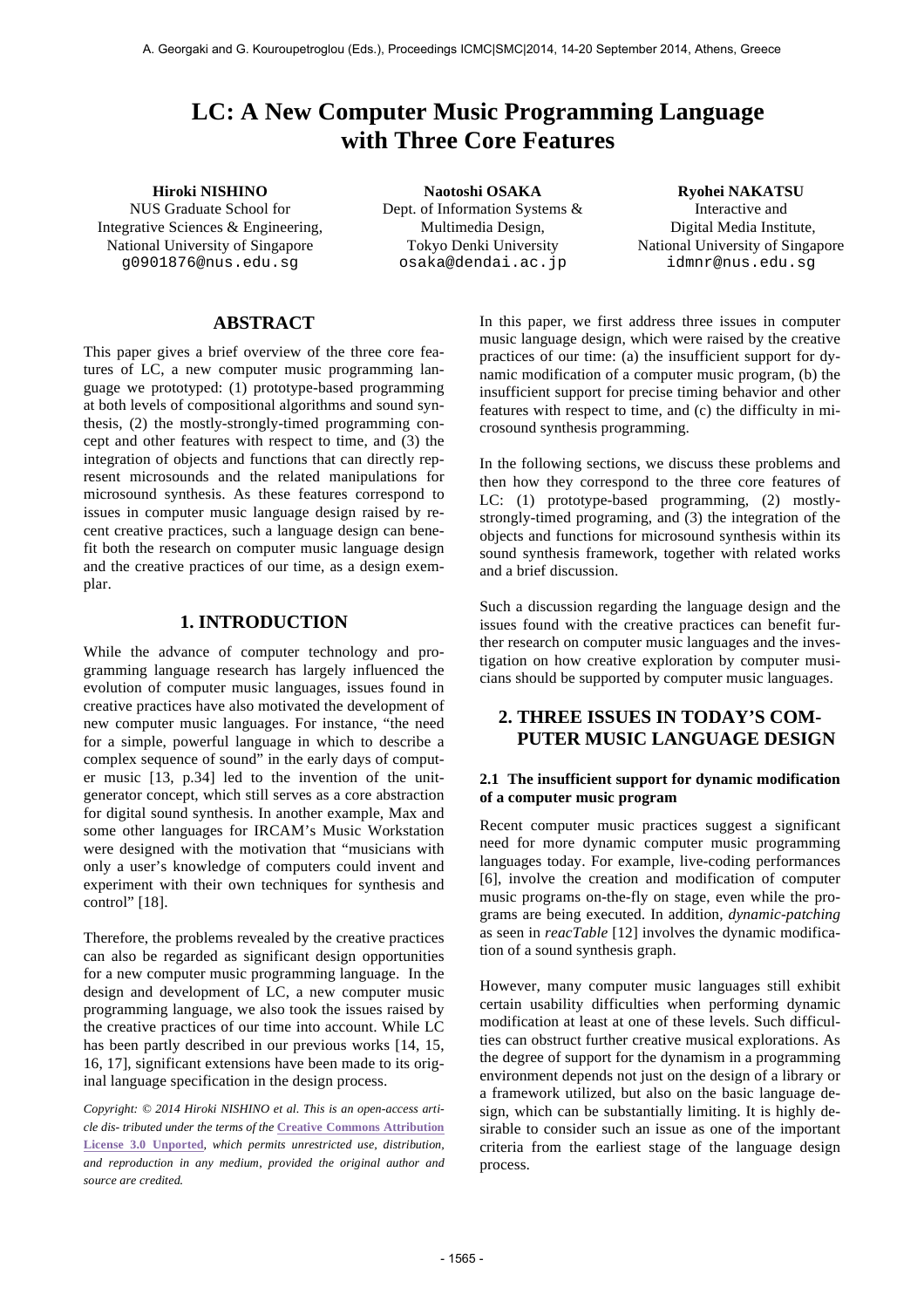# **LC: A New Computer Music Programming Language with Three Core Features**

NUS Graduate School for

Integrative Sciences & Engineering, National University of Singapore g0901876@nus.edu.sg

**Hiroki NISHINO Naotoshi OSAKA Ryohei NAKATSU** Dept. of Information Systems & Multimedia Design, Tokyo Denki University osaka@dendai.ac.jp

Interactive and Digital Media Institute, National University of Singapore idmnr@nus.edu.sg

# **ABSTRACT**

This paper gives a brief overview of the three core features of LC, a new computer music programming language we prototyped: (1) prototype-based programming at both levels of compositional algorithms and sound synthesis, (2) the mostly-strongly-timed programming concept and other features with respect to time, and (3) the integration of objects and functions that can directly represent microsounds and the related manipulations for microsound synthesis. As these features correspond to issues in computer music language design raised by recent creative practices, such a language design can benefit both the research on computer music language design and the creative practices of our time, as a design exemplar.

# **1. INTRODUCTION**

While the advance of computer technology and programming language research has largely influenced the evolution of computer music languages, issues found in creative practices have also motivated the development of new computer music languages. For instance, "the need for a simple, powerful language in which to describe a complex sequence of sound" in the early days of computer music [13, p.34] led to the invention of the unitgenerator concept, which still serves as a core abstraction for digital sound synthesis. In another example, Max and some other languages for IRCAM's Music Workstation were designed with the motivation that "musicians with only a user's knowledge of computers could invent and experiment with their own techniques for synthesis and control" [18].

Therefore, the problems revealed by the creative practices can also be regarded as significant design opportunities for a new computer music programming language. In the design and development of LC, a new computer music programming language, we also took the issues raised by the creative practices of our time into account. While LC has been partly described in our previous works [14, 15, 16, 17], significant extensions have been made to its original language specification in the design process.

*Copyright: © 2014 Hiroki NISHINO et al. This is an open-access arti cle dis- tributed under the terms of the* **Creative Commons Attribution License 3.0 Unported***, which permits unrestricted use, distribution, and reproduction in any medium, provided the original author and source are credited.*

In this paper, we first address three issues in computer music language design, which were raised by the creative practices of our time: (a) the insufficient support for dynamic modification of a computer music program, (b) the insufficient support for precise timing behavior and other features with respect to time, and (c) the difficulty in microsound synthesis programming.

In the following sections, we discuss these problems and then how they correspond to the three core features of LC: (1) prototype-based programming, (2) mostlystrongly-timed programing, and (3) the integration of the objects and functions for microsound synthesis within its sound synthesis framework, together with related works and a brief discussion.

Such a discussion regarding the language design and the issues found with the creative practices can benefit further research on computer music languages and the investigation on how creative exploration by computer musicians should be supported by computer music languages.

# **2. THREE ISSUES IN TODAY'S COM-PUTER MUSIC LANGUAGE DESIGN**

### **2.1 The insufficient support for dynamic modification of a computer music program**

Recent computer music practices suggest a significant need for more dynamic computer music programming languages today. For example, live-coding performances [6], involve the creation and modification of computer music programs on-the-fly on stage, even while the programs are being executed. In addition, *dynamic-patching* as seen in *reacTable* [12] involves the dynamic modification of a sound synthesis graph.

However, many computer music languages still exhibit certain usability difficulties when performing dynamic modification at least at one of these levels. Such difficulties can obstruct further creative musical explorations. As the degree of support for the dynamism in a programming environment depends not just on the design of a library or a framework utilized, but also on the basic language design, which can be substantially limiting. It is highly desirable to consider such an issue as one of the important criteria from the earliest stage of the language design process.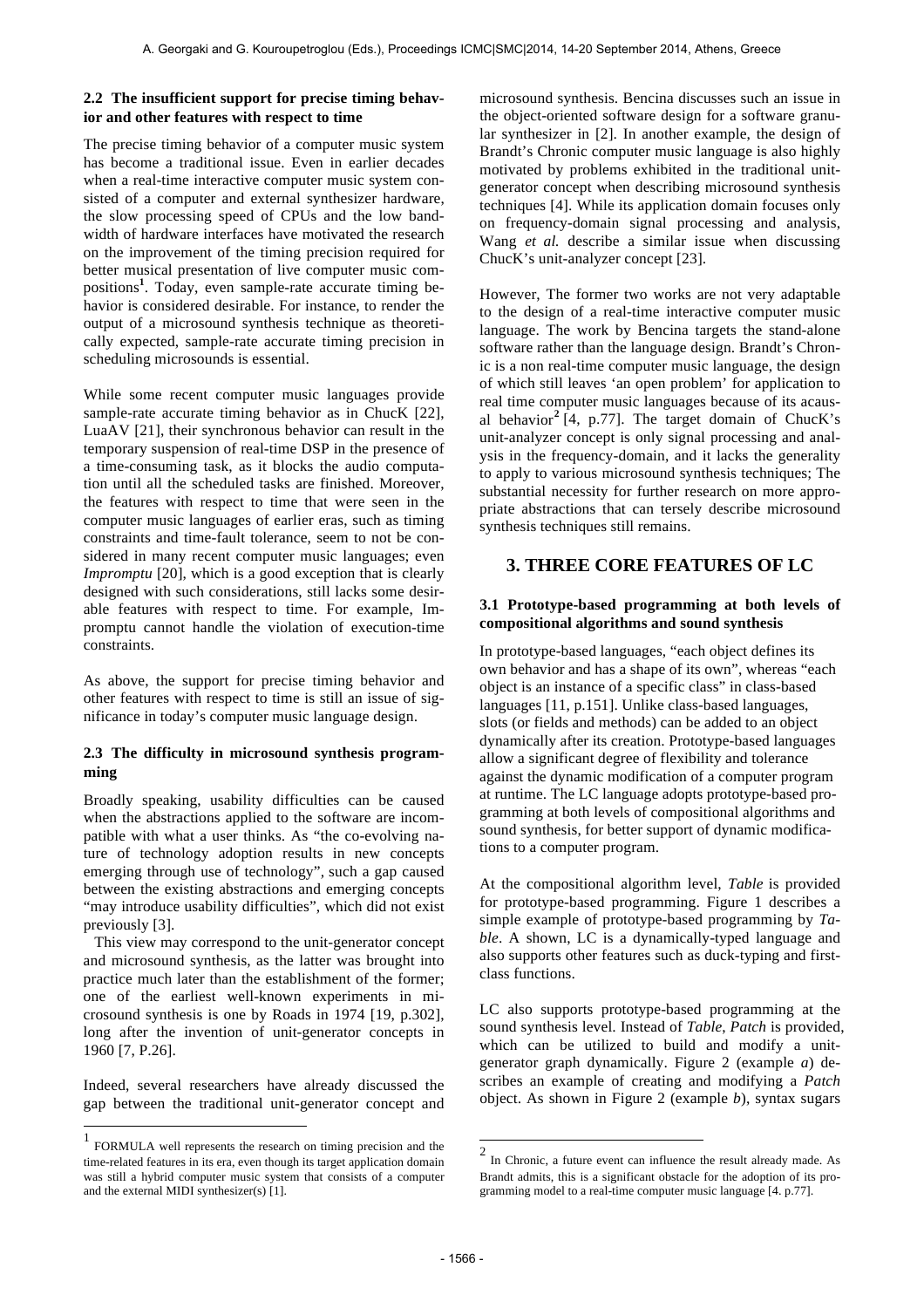# **2.2 The insufficient support for precise timing behavior and other features with respect to time**

The precise timing behavior of a computer music system has become a traditional issue. Even in earlier decades when a real-time interactive computer music system consisted of a computer and external synthesizer hardware, the slow processing speed of CPUs and the low bandwidth of hardware interfaces have motivated the research on the improvement of the timing precision required for better musical presentation of live computer music compositions**<sup>1</sup>** . Today, even sample-rate accurate timing behavior is considered desirable. For instance, to render the output of a microsound synthesis technique as theoretically expected, sample-rate accurate timing precision in scheduling microsounds is essential.

While some recent computer music languages provide sample-rate accurate timing behavior as in ChucK [22], LuaAV [21], their synchronous behavior can result in the temporary suspension of real-time DSP in the presence of a time-consuming task, as it blocks the audio computation until all the scheduled tasks are finished. Moreover, the features with respect to time that were seen in the computer music languages of earlier eras, such as timing constraints and time-fault tolerance, seem to not be considered in many recent computer music languages; even *Impromptu* [20], which is a good exception that is clearly designed with such considerations, still lacks some desirable features with respect to time. For example, Impromptu cannot handle the violation of execution-time constraints.

As above, the support for precise timing behavior and other features with respect to time is still an issue of significance in today's computer music language design.

# **2.3 The difficulty in microsound synthesis programming**

Broadly speaking, usability difficulties can be caused when the abstractions applied to the software are incompatible with what a user thinks. As "the co-evolving nature of technology adoption results in new concepts emerging through use of technology"*,* such a gap caused between the existing abstractions and emerging concepts "may introduce usability difficulties", which did not exist previously [3].

This view may correspond to the unit-generator concept and microsound synthesis, as the latter was brought into practice much later than the establishment of the former; one of the earliest well-known experiments in microsound synthesis is one by Roads in 1974 [19, p.302], long after the invention of unit-generator concepts in 1960 [7, P.26].

Indeed, several researchers have already discussed the gap between the traditional unit-generator concept and

 $\overline{a}$ 

microsound synthesis. Bencina discusses such an issue in the object-oriented software design for a software granular synthesizer in [2]. In another example, the design of Brandt's Chronic computer music language is also highly motivated by problems exhibited in the traditional unitgenerator concept when describing microsound synthesis techniques [4]. While its application domain focuses only on frequency-domain signal processing and analysis, Wang *et al.* describe a similar issue when discussing ChucK's unit-analyzer concept [23].

However, The former two works are not very adaptable to the design of a real-time interactive computer music language. The work by Bencina targets the stand-alone software rather than the language design. Brandt's Chronic is a non real-time computer music language, the design of which still leaves 'an open problem' for application to real time computer music languages because of its acausal behavior**<sup>2</sup>** [4, p.77]. The target domain of ChucK's unit-analyzer concept is only signal processing and analysis in the frequency-domain, and it lacks the generality to apply to various microsound synthesis techniques; The substantial necessity for further research on more appropriate abstractions that can tersely describe microsound synthesis techniques still remains.

# **3. THREE CORE FEATURES OF LC**

### **3.1 Prototype-based programming at both levels of compositional algorithms and sound synthesis**

In prototype-based languages, "each object defines its own behavior and has a shape of its own", whereas "each object is an instance of a specific class" in class-based languages [11, p.151]. Unlike class-based languages, slots (or fields and methods) can be added to an object dynamically after its creation. Prototype-based languages allow a significant degree of flexibility and tolerance against the dynamic modification of a computer program at runtime. The LC language adopts prototype-based programming at both levels of compositional algorithms and sound synthesis, for better support of dynamic modifications to a computer program.

At the compositional algorithm level, *Table* is provided for prototype-based programming. Figure 1 describes a simple example of prototype-based programming by *Table*. A shown, LC is a dynamically-typed language and also supports other features such as duck-typing and firstclass functions.

LC also supports prototype-based programming at the sound synthesis level. Instead of *Table*, *Patch* is provided, which can be utilized to build and modify a unitgenerator graph dynamically. Figure 2 (example *a*) describes an example of creating and modifying a *Patch* object. As shown in Figure 2 (example *b*), syntax sugars

<sup>1</sup> FORMULA well represents the research on timing precision and the time-related features in its era, even though its target application domain was still a hybrid computer music system that consists of a computer and the external MIDI synthesizer(s) [1].

 2 In Chronic, a future event can influence the result already made. As Brandt admits, this is a significant obstacle for the adoption of its programming model to a real-time computer music language [4. p.77].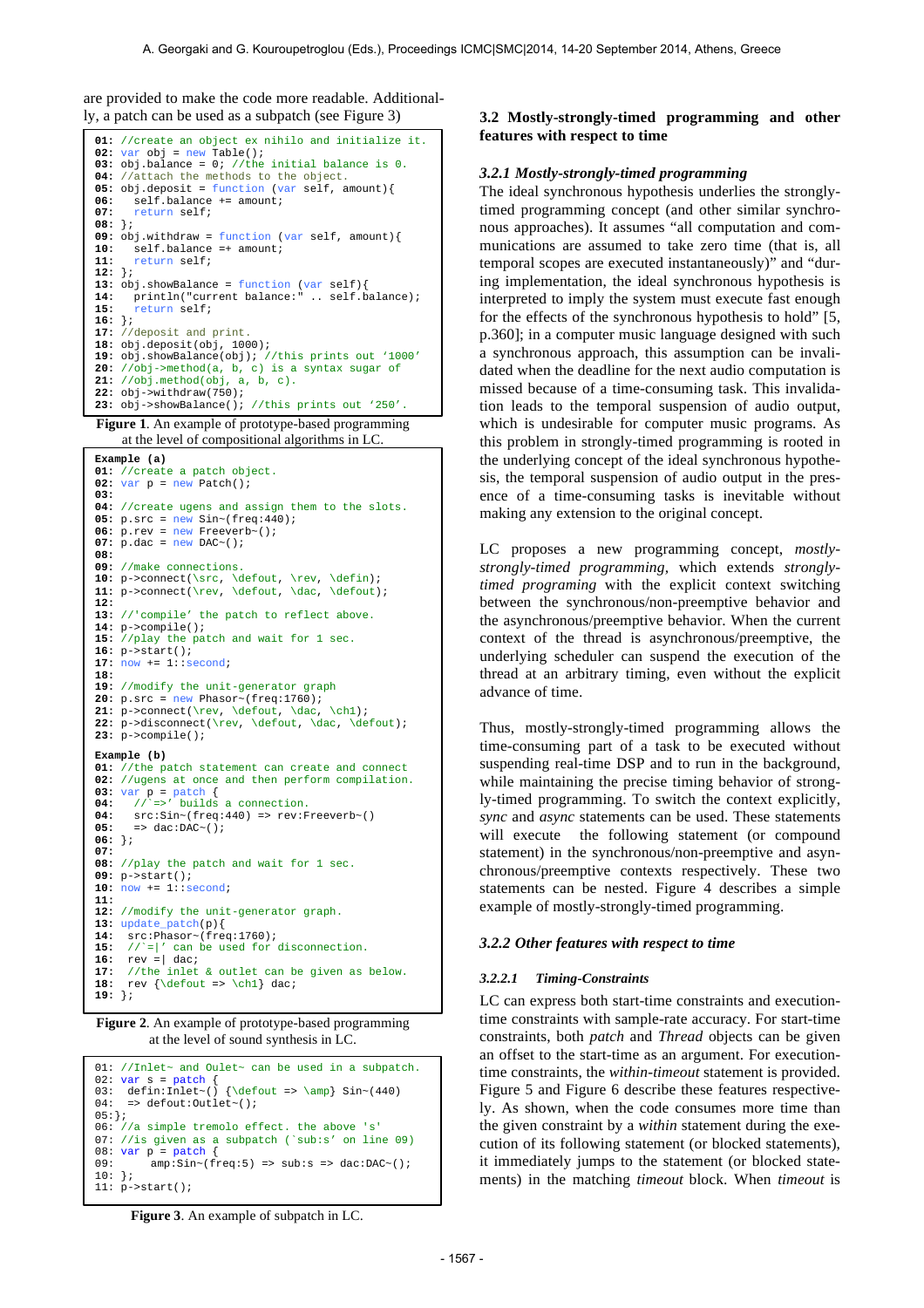are provided to make the code more readable. Additional-

```
01: //create an object ex nihilo and initialize it.
02: var obj = new Table();
03: obj.balance = 0; //the initial balance is 0.
04: //attach the methods to the object.
05: obj.deposit = function (var self, amount){
06: self.balance += amount;<br>07: return self;
      07: return self;
08: };
09: obj.withdraw = function (var self, amount){
10: self.balance =+ amount;<br>11: return self;
      11: return self;
12: };
13: obj.showBalance = function (var self){
14: println("current balance:" .. self.balance);
15: return self;
16: };
17: //deposit and print.
18: obj.deposit(obj, 1000);
19: obj.showBalance(obj); //this prints out '1000'
20: //obj->method(a, b, c) is a syntax sugar of
21: //obj.method(obj, a, b, c). 
22: obj->withdraw(750); 
23: obj->showBalance(); //this prints out '250'.
```
**Figure 1**. An example of prototype-based programming at the level of compositional algorithms in LC.

```
Example (a) 
01: //create a patch object.
02: var p = new Patch();
03:
04: //create ugens and assign them to the slots.
05: p.src = new Sin~(freq:440);
06: p. rev = new Freeverb~();07: p.dac = new DAC~();
08:
09: //make connections.
10: p->connect(\src, \defout, \rev, \defin);
11: p->connect(\rev, \defout, \dac, \defout);
12:
13: //'compile' the patch to reflect above.
14: p->compile();
15: //play the patch and wait for 1 sec.
16: p->start(); 
17: now += 1::second; 
18: 
19: //modify the unit-generator graph
20: p.src = new Phasor~(freq:1760);
21: p->connect(\rev, \defout, \dac, \ch1);
22: p->disconnect(\rev, \defout, \dac, \defout);
23: p->compile();
Example (b)
01: //the patch statement can create and connect
02: //ugens at once and then perform compilation.<br>03: var p = patch {
03: var p = patch {<br>04: //`=>' builds a connection.
04: \text{src:Sin} \sim (\text{freq}:440) \Rightarrow \text{rev:Freeverb} \sim ()<br>
05: \Rightarrow \text{dac:DAC} \sim ();
       \Rightarrow dac:DAC~();
06: };
07:
08: //play the patch and wait for 1 sec.
09: p->start(); 
10: now += 1::second; 
11: 
12: //modify the unit-generator graph.
13: update_patch(p){<br>14: src:Phasor~(fre
      14: src:Phasor~(freq:1760);
15: //`=|' can be used for disconnection.
16: rev = \begin{vmatrix} \text{daci} \\ \text{17:} \end{vmatrix}17: //the inlet & outlet can be given as below.<br>18: rev {\defout => \chl} dac;
      rev {\defout => \ch1} dac;
19: };
```
**Figure 2**. An example of prototype-based programming at the level of sound synthesis in LC.

```
01: //Inlet~ and Oulet~ can be used in a subpatch.
02: var s = patch {<br>03: defin:Inlet~() {\defout => \amp} Sin~(440)
04: => defout:Outlet~();
05:};
06: //a simple tremolo effect. the above 's'
07: //is given as a subpatch (`sub:s' on line 09)
08: var p = patch {<br>09: ann:Sin \sim (famp: \sin \sim (freq:5) \Rightarrow sub:s \Rightarrow dac:DAC();
10: }; 
11: p \rightarrow start()
```
### ly, a patch can be used as a subpatch (see Figure 3) **3.2 Mostly-strongly-timed programming and other features with respect to time**

#### *3.2.1 Mostly-strongly-timed programming*

The ideal synchronous hypothesis underlies the stronglytimed programming concept (and other similar synchronous approaches). It assumes "all computation and communications are assumed to take zero time (that is, all temporal scopes are executed instantaneously)" and "during implementation, the ideal synchronous hypothesis is interpreted to imply the system must execute fast enough for the effects of the synchronous hypothesis to hold" [5, p.360]; in a computer music language designed with such a synchronous approach, this assumption can be invalidated when the deadline for the next audio computation is missed because of a time-consuming task. This invalidation leads to the temporal suspension of audio output, which is undesirable for computer music programs. As this problem in strongly-timed programming is rooted in the underlying concept of the ideal synchronous hypothesis, the temporal suspension of audio output in the presence of a time-consuming tasks is inevitable without making any extension to the original concept.

LC proposes a new programming concept, *mostlystrongly-timed programming,* which extends *stronglytimed programing* with the explicit context switching between the synchronous/non-preemptive behavior and the asynchronous/preemptive behavior. When the current context of the thread is asynchronous/preemptive, the underlying scheduler can suspend the execution of the thread at an arbitrary timing, even without the explicit advance of time.

Thus, mostly-strongly-timed programming allows the time-consuming part of a task to be executed without suspending real-time DSP and to run in the background, while maintaining the precise timing behavior of strongly-timed programming. To switch the context explicitly, *sync* and *async* statements can be used. These statements will execute the following statement (or compound statement) in the synchronous/non-preemptive and asynchronous/preemptive contexts respectively. These two statements can be nested. Figure 4 describes a simple example of mostly-strongly-timed programming.

#### *3.2.2 Other features with respect to time*

#### *3.2.2.1 Timing-Constraints*

LC can express both start-time constraints and executiontime constraints with sample-rate accuracy. For start-time constraints, both *patch* and *Thread* objects can be given an offset to the start-time as an argument. For executiontime constraints, the *within*-*timeout* statement is provided. Figure 5 and Figure 6 describe these features respectively. As shown, when the code consumes more time than the given constraint by a *within* statement during the execution of its following statement (or blocked statements), it immediately jumps to the statement (or blocked statements) in the matching *timeout* block. When *timeout* is

**Figure 3**. An example of subpatch in LC.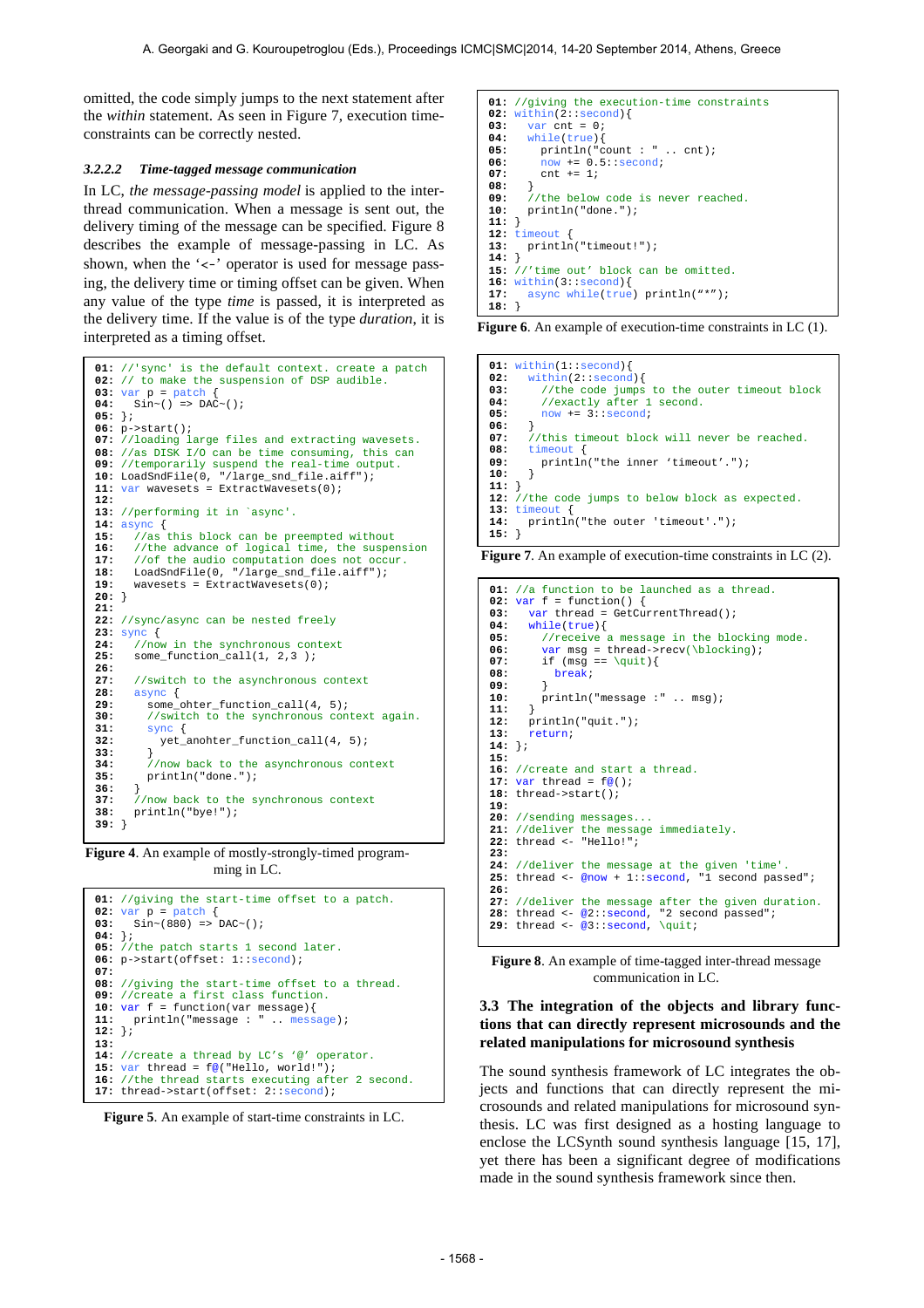omitted, the code simply jumps to the next statement after the *within* statement. As seen in Figure 7, execution timeconstraints can be correctly nested.

#### *3.2.2.2 Time-tagged message communication*

In LC, *the message-passing model* is applied to the interthread communication. When a message is sent out, the delivery timing of the message can be specified. Figure 8 describes the example of message-passing in LC. As shown, when the ' $\lt$ -' operator is used for message passing, the delivery time or timing offset can be given. When any value of the type *time* is passed, it is interpreted as the delivery time. If the value is of the type *duration*, it is interpreted as a timing offset.

```
01: //'sync' is the default context. create a patch 
02: // to make the suspension of DSP audible.
03: var p = patch {<br>04: Sin \sim () => DAC
       \sin^{-}(x) = \text{DAC}^{-}(x)05: };
06: p->start();
07: //loading large files and extracting wavesets. 
08: //as DISK I/O can be time consuming, this can 
09: //temporarily suspend the real-time output.
10: LoadSndFile(0, "/large_snd_file.aiff");
11: var wavesets = ExtractWavesets(0);
12:
13: //performing it in `async'.
14: \text{async} {<br>15: //as
15: //as this block can be preempted without<br>16: //the advance of logical time, the suspe
16: //the advance of logical time, the suspension 17: //of the audio computation does not occur
17: //of the audio computation does not occur.
18: LoadSndFile(0, "/large_snd_file.aiff");
19: wavesets = ExtractWavesets(0);
20: } 
21:
22: //sync/async can be nested freely
23: sync {<br>24: //nov
24: \frac{1}{25} //now in the synchronous context<br>25: some function call(1, 2,3 );
       25: some_function_call(1, 2,3 );
26:
27: //switch to the asynchronous context<br>28: async {
28: async { 
          29: some_ohter_function_call(4, 5);
30: //switch to the synchronous context again.<br>31: sync {
31: sync { 
          yet_anohter_function_call(4, 5);
33: } 
34: //now back to the asynchronous context<br>35: println("done.");
          35: println("done."); 
36: } 
        37: //now back to the synchronous context
38: println("bye!");
39: }
```
**Figure 4**. An example of mostly-strongly-timed programming in LC.

```
01: //giving the start-time offset to a patch.
02: var p = \text{patch} {<br>03: sin \sim (880) =>
      \sin \sim (880) => DAC\sim();
04: };
05: //the patch starts 1 second later.
06: p->start(offset: 1::second);
07:
08: //giving the start-time offset to a thread.
09: //create a first class function.
10: var f = function(var message){
11: println("message: " .. message);
12: };
13:
14: //create a thread by LC's '@' operator.
15: var thread = f@("Hello, world!");
16: //the thread starts executing after 2 second.
17: thread->start(offset: 2::second);
```


```
01: //giving the execution-time constraints
02: within(2::second){<br>03: var.cnt = 0;
         03: var cnt = 0;
04: while(true){
05: \begin{array}{ll}\n\text{print}\n\text{(} \text{ "count} : \text{ " ... ent)};\n\text{ 06: } & \text{ now } += 0.5::\text{ second};\n\end{array}06: now += 0.5::second;<br>07: cnt += 1;
            07: cnt += 1;
08: } 
09: //the below code is never reached.<br>10: println("done.");
        10: println("done.");
11: } 
12: timeout { 
        13: println("timeout!");
14: } 
15: //'time out' block can be omitted.
16: within(3::second) {<br>17: async while (true)async while(true) println("*");
18: }
```

|  |  | <b>Figure 6.</b> An example of execution-time constraints in LC $(1)$ . |  |  |  |
|--|--|-------------------------------------------------------------------------|--|--|--|
|--|--|-------------------------------------------------------------------------|--|--|--|

**01:** within(1::second){<br>02: within(2::second **02:** within(2::second){ **03:** //the code jumps to the outer timeout block **04:** //exactly after 1 second. **05:** now += 3::second; **06:** } 07: //this timeout block will never be reached.<br>08: timeout { **08:** timeout { println("the inner 'timeout'.");<br>}  $10.$ **11:** } **12:** //the code jumps to below block as expected. 13: **timeout 14:** print println("the outer 'timeout'."); **15:** }

**Figure 7**. An example of execution-time constraints in LC (2).

```
01: //a function to be launched as a thread.
02: var f = function() {
03: var thread = GetCurrentThread();<br>04: while(true){
       04: while(true){
05: //receive a message in the blocking mode.
06: var msg = thread->recv(\blocking);<br>
07: if (msq == \{mji\})07: if (msg == \qquad i)<br>
08: break;
          08: break; 
09: } 
       println("message :" .. msg);
11: } 
       12: println("quit.");
13: return; 
14: };
15:
16: //create and start a thread.
17: var thread = f@();
18: thread->start();
19:
20: //sending messages...
21: //deliver the message immediately.
22: thread <- "Hello!"; 
23:
24: //deliver the message at the given 'time'.
25: thread <- @now + 1::second, "1 second passed";
26:
27: //deliver the message after the given duration.
28: thread <- @2::second, "2 second passed";
29: thread <- @3::second, \quit;
```
**Figure 8**. An example of time-tagged inter-thread message communication in LC.

# **3.3 The integration of the objects and library functions that can directly represent microsounds and the related manipulations for microsound synthesis**

The sound synthesis framework of LC integrates the objects and functions that can directly represent the microsounds and related manipulations for microsound synthesis. LC was first designed as a hosting language to enclose the LCSynth sound synthesis language [15, 17], yet there has been a significant degree of modifications made in the sound synthesis framework since then.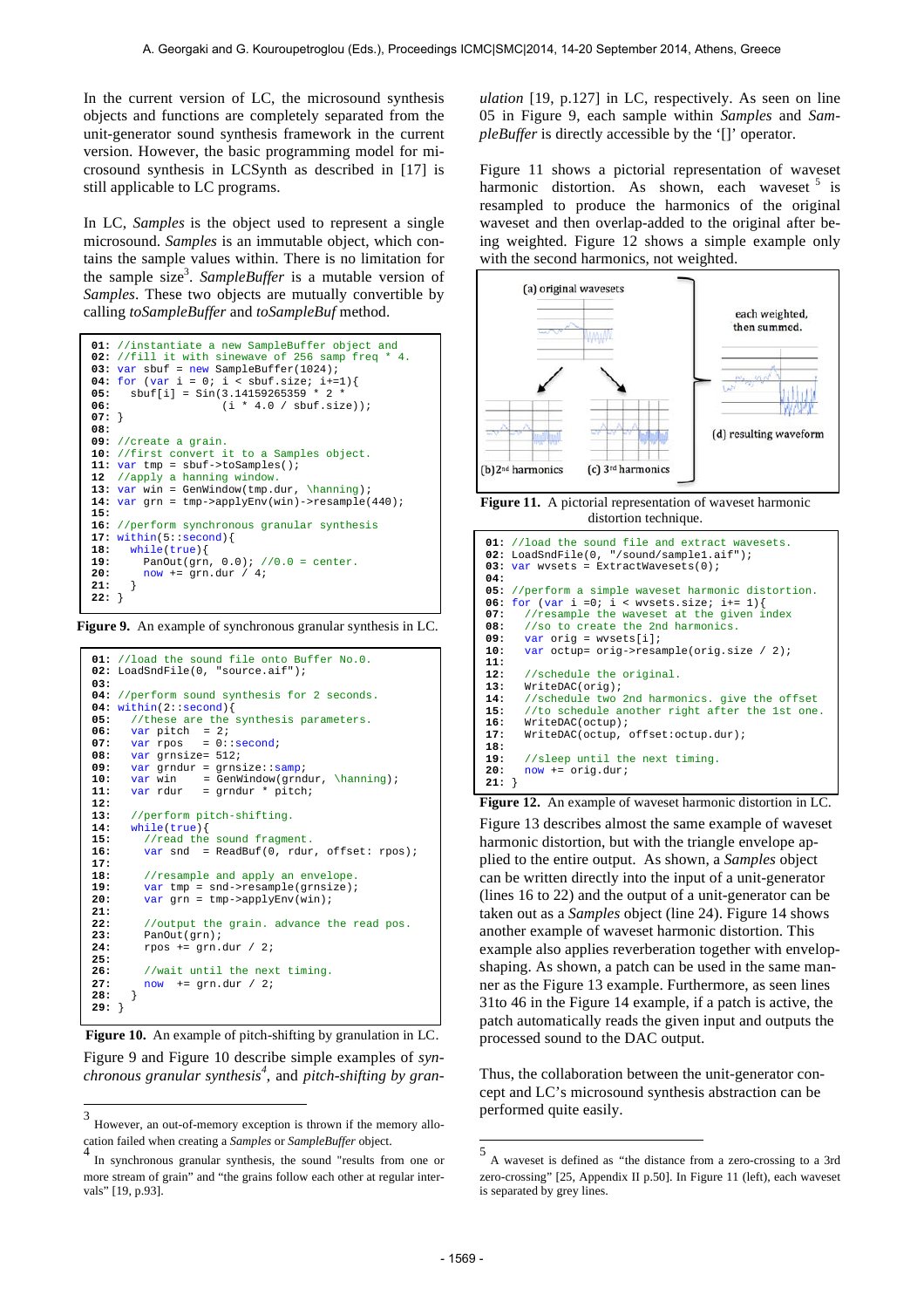In the current version of LC, the microsound synthesis objects and functions are completely separated from the unit-generator sound synthesis framework in the current version. However, the basic programming model for microsound synthesis in LCSynth as described in [17] is still applicable to LC programs.

In LC, *Samples* is the object used to represent a single microsound. *Samples* is an immutable object, which contains the sample values within. There is no limitation for the sample size<sup>3</sup> . *SampleBuffer* is a mutable version of *Samples*. These two objects are mutually convertible by calling *toSampleBuffer* and *toSampleBuf* method.

```
01: //instantiate a new SampleBuffer object and
02: //fill it with sinewave of 256 samp freq
03: var sbuf = new SampleBuffer(1024);
04: for (var i = 0; i < sbuf.size; i+=1){<br>05: sbuf[i] = Sin(3.14159265359 * 2 *
06: (i * 4.0 / sbuf.size));
07: } 
08: 
09: //create a grain. 
10: //first convert it to a Samples object.
11: var tmp = sbuf->toSamples();
12 //apply a hanning window.
13: varwar win = GenWindow(tmp.dur, \hanning);
14: var grn = tmp->applyEnv(win)->resample(440);
15:
16: //perform synchronous granular synthesis
17: within(5::second){<br>18: while(true){
      18: while(true){
19: PanOut(grn, 0.0); //0.0 = center.<br>20: now += grn dur / 4;
      20: now += grn.dur / 4;
21: } 
22: }
```
**Figure 9.** An example of synchronous granular synthesis in LC.

```
01: //load the sound file onto Buffer No.0.
02: LoadSndFile(0, "source.aif");
03:
04: //perform sound synthesis for 2 seconds.
04: within(2::second){<br>05: //these are the
05: //these are the synthesis parameters.<br>06: var pitch = 2;
06: var pitch = 2;<br>07: var rpos = 0::second;
08: var grnsize= 512;
09: var grndur = grnsize::samp;<br>10: var win = GenWindow(grnd
10: var win = GenWindow(grndur, \hanning);<br>11: var rdur = grndur * pitch;
                       = grndur * pitch;
12: 
13: //perform pitch-shifting.<br>14: while(true){
14: while(true){<br>15: //read the
15: //read the sound fragment.<br>16: var snd = ReadBuf(0, rdur
           var snd = ReadBuf(0, rdur, offset: rpos);
17: 
18: //resample and apply an envelope<br>19: var tmp = snd->resample(grnsize)
           var tmp = snd->resample(grnsize);
20: var \text{ arm} = \text{ tmn}->applyEnv(win);
21: 
22: //output the grain. advance the read pos. 23: PanOut(mn):PanOut(grn);
24: rpos += grn.dur / 2;
25: 
26: //wait until the next timing.<br>27: now += grn.dur / 2;
        27: now += grn.dur / 2;
28: } 
29: }
```
Figure 9 and Figure 10 describe simple examples of *synchronous granular synthesis<sup>4</sup>* , and *pitch-shifting by gran-* **Figure 10.** An example of pitch-shifting by granulation in LC.

*ulation* [19, p.127] in LC, respectively. As seen on line 05 in Figure 9, each sample within *Samples* and *SampleBuffer* is directly accessible by the '[]' operator.

Figure 11 shows a pictorial representation of waveset harmonic distortion. As shown, each waveset  $5$  is resampled to produce the harmonics of the original waveset and then overlap-added to the original after being weighted. Figure 12 shows a simple example only with the second harmonics, not weighted.



**Figure 11.** A pictorial representation of waveset harmonic distortion technique.

```
01: //load the sound file and extract wavesets.
02: LoadSndFile(0, "/sound/sample1.aif");<br>03: var wysets = ExtractWavesets(0);
      var wvsets = ExtractWavesets(0);
04:
05: //perform a simple waveset harmonic distortion.
06: for (var i =0; i < wvsets.size; i+= 1){<br>07: //resample the waveset at the given i
07: //resample the waveset at the given index<br>08: //so to create the 2nd harmonics
08: //so to create the 2nd harmonics.<br>09: var orig = wysets[i];
         09: var orig = wvsets[i];
10: var octup= orig->resample(orig.size / 2);
11:
12: //schedule the original.<br>13: WriteDAC(orig):
         13: WriteDAC(orig);
14: //schedule two 2nd harmonics. give the offset<br>15: //to schedule another right after the 1st one
15: //to schedule another right after the 1st one.<br>16: WriteDAC(octup);
         16: WriteDAC(octup);
17: WriteDAC(octup, offset:octup.dur);
18:
19: //sleep until the next timing.<br>20: now += orig.dur;
         20: now += orig.dur;
21: }
```
Figure 13 describes almost the same example of waveset harmonic distortion, but with the triangle envelope applied to the entire output. As shown, a *Samples* object can be written directly into the input of a unit-generator (lines 16 to 22) and the output of a unit-generator can be taken out as a *Samples* object (line 24). Figure 14 shows another example of waveset harmonic distortion. This example also applies reverberation together with envelopshaping. As shown, a patch can be used in the same manner as the Figure 13 example. Furthermore, as seen lines 31to 46 in the Figure 14 example, if a patch is active, the patch automatically reads the given input and outputs the processed sound to the DAC output. **Figure 12.** An example of waveset harmonic distortion in LC.

Thus, the collaboration between the unit-generator concept and LC's microsound synthesis abstraction can be performed quite easily.

 3 However, an out-of-memory exception is thrown if the memory allocation failed when creating a *Samples* or *SampleBuffer* object. 4

In synchronous granular synthesis, the sound "results from one or more stream of grain" and "the grains follow each other at regular intervals" [19, p.93].

 5 A waveset is defined as *"*the distance from a zero-crossing to a 3rd zero-crossing" [25, Appendix II p.50]. In Figure 11 (left), each waveset is separated by grey lines.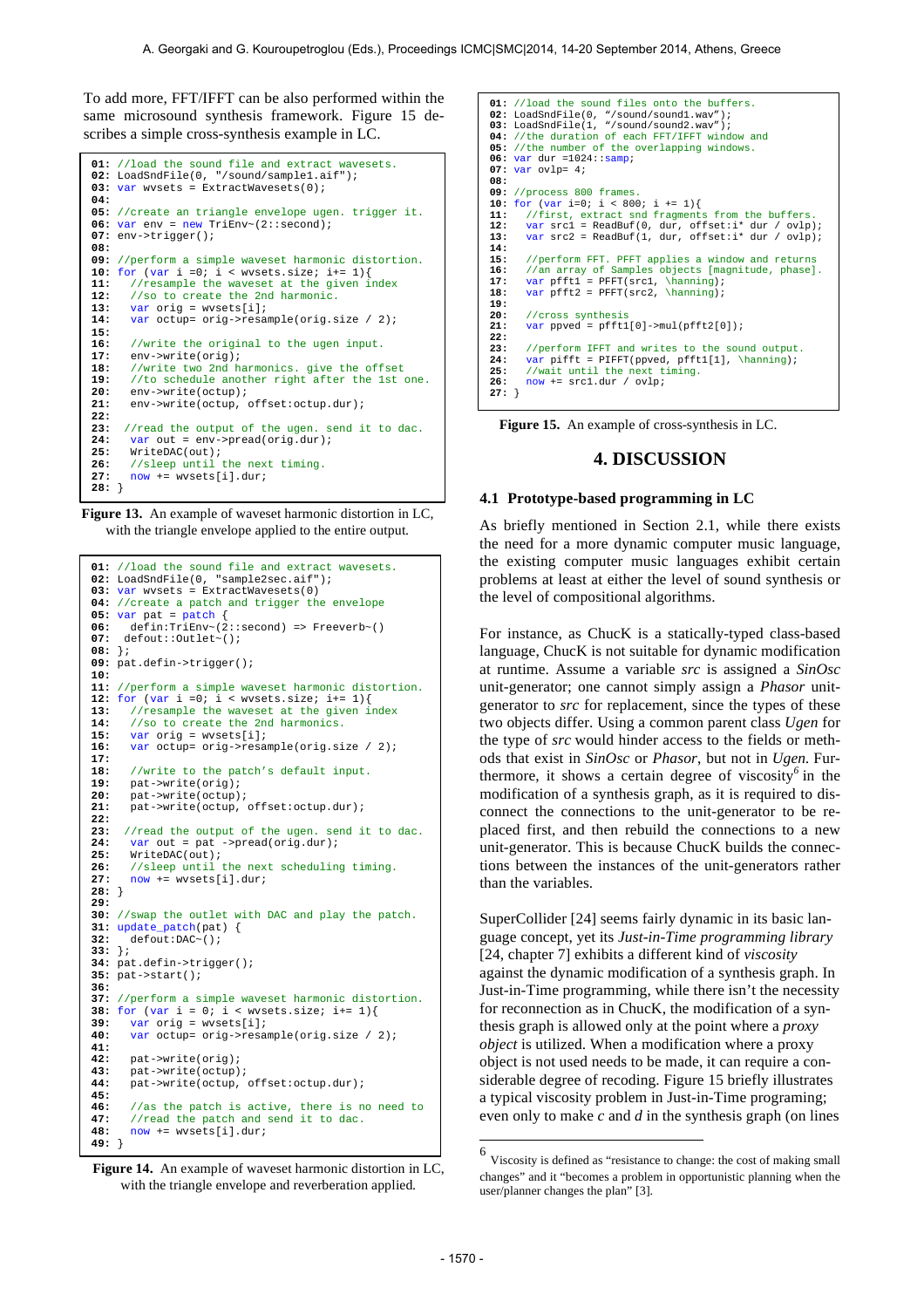To add more, FFT/IFFT can be also performed within the same microsound synthesis framework. Figure 15 describes a simple cross-synthesis example in LC.

```
01: //load the sound file and extract wavesets.
02: LoadSndFile(0, "/sound/sample1.aif");<br>03: var wvsets = ExtractWavesets(0);
04:
05: //create an triangle envelope ugen. trigger it.
06: var env = new TriEnv~(2::second);
07: env->trigger();
08:
09: //perform a simple waveset harmonic distortion.
10: for (var i = 0; i < wvsets.size; i += 1) {<br>11: //resample the waveset at the given i11: //resample the waveset at the given index<br>12: //so to create the 2nd harmonic.
12: //so to create the 2nd harmonic.<br>13: var orig = wreets[i]:
         13: var orig = wvsets[i];
14: var octup= orig->resample(orig.size / 2);
15: 
16: //write the original to the ugen input.<br>17: env->write(orig);
17: env->write(orig);<br>18: //write two 2nd h
18: //write two 2nd harmonics. give the offset 
19: //to schedule another right after the 1st one.
20: env->write(octup);<br>21: env->write(octup.
         21: env->write(octup, offset:octup.dur);
22: 
23: //read the output of the ugen. send it to dac. 24: var out = env-spread (orig. dur);24: var out = env->pred(orig.dur);<br>25: WriteDAC(out);25: WriteDAC(out);<br>26: //sleep until t
         26: //sleep until the next timing.
27: now += wvsets[i].dur;
28: }
```
**Figure 13.** An example of waveset harmonic distortion in LC, with the triangle envelope applied to the entire output.

```
01: //load the sound file and extract wavesets.
02: LoadSndFile(0, "sample2sec.aif");
03: var wvsets = ExtractWavesets(0)
04: //create a patch and trigger the envelope
05: var pat = path {<br>06: defin:TriEnv~(2)
       06: defin:TriEnv~(2::second) => Freeverb~()
07: defout::Outlet~();
08: }; 
09: pat.defin->trigger();
10: 
11: //perform a simple waveset harmonic distortion.
12: for \{var\} = 0; i < \text{wvests.size}; i += 113: //resample the waveset at the given index<br>14: //so to create the 2nd harmonics.
14: //so to create the 2nd harmonics.<br>15: yar orig = wysets[i]:
        15: var orig = wvsets[i];
16: var octup= orig->resample(orig.size / 2);
17: 
18: //write to the patch's default input.<br>19: pat-swrite(orig):
       pat->write(orig);
20: pat->write(octup);<br>21: pat->write(octup,
       pat->write(octup, offset:octup.dur);
22: 
23: //read the output of the ugen. send it to dac.
24: var out = pat ->pread(orig.dur);<br>25: WriteDAC(out);
25: WriteDAC(out);<br>26: //sleep until t
26: //sleep until the next scheduling timing.<br>27: now += wysets[il.dur;
       27: now += wvsets[i].dur;
28: } 
29:
30: //swap the outlet with DAC and play the patch.
31: update\_patch(path) {<br>32: default:DAC~();
       32: defout:DAC~();
33: };
34: pat.defin->trigger();
35: pat->start();
36:
37: //perform a simple waveset harmonic distortion.
38: for (var i = 0; i < wvsets.size; i+= 1){
39: var orig = wvsets[i];
40: var octup= orig->resample(orig.size / 2);
41: 
42: pat->write(orig);
43: pat->write(octup);<br>44: pat->write(octup.
        44: pat->write(octup, offset:octup.dur);
45: 
46: //as the patch is active, there is no need to 47 \cdot //read the patch and send it to dag
47: //read the patch and send it to dac.<br>48: now += wysets[i] dur:
       48: now += wvsets[i].dur;
49: }
```
**Figure 14.** An example of waveset harmonic distortion in LC, with the triangle envelope and reverberation applied.

**01:** //load the sound files onto the buffers.<br>**02:** LoadSndFile(0, "/sound/sound1.wav");<br>**03:** LoadSndFile(1, "/sound/sound2.wav");<br>**04:** //the duration of each FFT/IFFT window and **05:** //the number of the overlapping windows. **06:** var dur =1024::samp; **07:** var ovlp= 4; **08: 09:** //process 800 frames. **10:** for (var i=0; i < 800; i += 1){ **11:** //first, extract snd fragments from the buffers. **12:** var src1 = ReadBuf(0, dur, offset:i\* dur / ovlp); **13:** var src2 = ReadBuf(1, dur, offset:i\* dur / ovlp); **14: 15:** //perform FFT. PFFT applies a window and returns **16:** //an array of Samples objects [magnitude, phase]. **17:** var pfft1 = PFFT(src1, \hanning); **18:** var pfft2 = PFFT(src2, \hanning); **19:** 20: //cross synthesis<br>21: var ppved = pfft1 **21:** var ppved = pfft1[0]->mul(pfft2[0]); **22:**  23: //perform IFFT and writes to the sound output.<br>24: var pifft = PIFFT(ppyed, pfft1[1], \hanning); **24:** var pifft = PIFFT(ppved, pfft1[1], \hanning); **25:** //wait until the next timing. **26:** now += src1.dur / ovlp; **27:** }

**Figure 15.** An example of cross-synthesis in LC.

# **4. DISCUSSION**

#### **4.1 Prototype-based programming in LC**

As briefly mentioned in Section 2.1, while there exists the need for a more dynamic computer music language, the existing computer music languages exhibit certain problems at least at either the level of sound synthesis or the level of compositional algorithms.

For instance, as ChucK is a statically-typed class-based language, ChucK is not suitable for dynamic modification at runtime. Assume a variable *src* is assigned a *SinOsc* unit-generator; one cannot simply assign a *Phasor* unitgenerator to *src* for replacement, since the types of these two objects differ. Using a common parent class *Ugen* for the type of *src* would hinder access to the fields or methods that exist in *SinOsc* or *Phasor*, but not in *Ugen.* Furthermore, it shows a certain degree of viscosity*<sup>6</sup>* in the modification of a synthesis graph, as it is required to disconnect the connections to the unit-generator to be replaced first, and then rebuild the connections to a new unit-generator. This is because ChucK builds the connections between the instances of the unit-generators rather than the variables.

SuperCollider [24] seems fairly dynamic in its basic language concept, yet its *Just-in-Time programming library*  [24, chapter 7] exhibits a different kind of *viscosity* against the dynamic modification of a synthesis graph. In Just-in-Time programming, while there isn't the necessity for reconnection as in ChucK, the modification of a synthesis graph is allowed only at the point where a *proxy object* is utilized. When a modification where a proxy object is not used needs to be made, it can require a considerable degree of recoding. Figure 15 briefly illustrates a typical viscosity problem in Just-in-Time programing; even only to make *c* and *d* in the synthesis graph (on lines

l

<sup>6</sup> Viscosity is defined as "resistance to change: the cost of making small changes" and it "becomes a problem in opportunistic planning when the user/planner changes the plan" [3].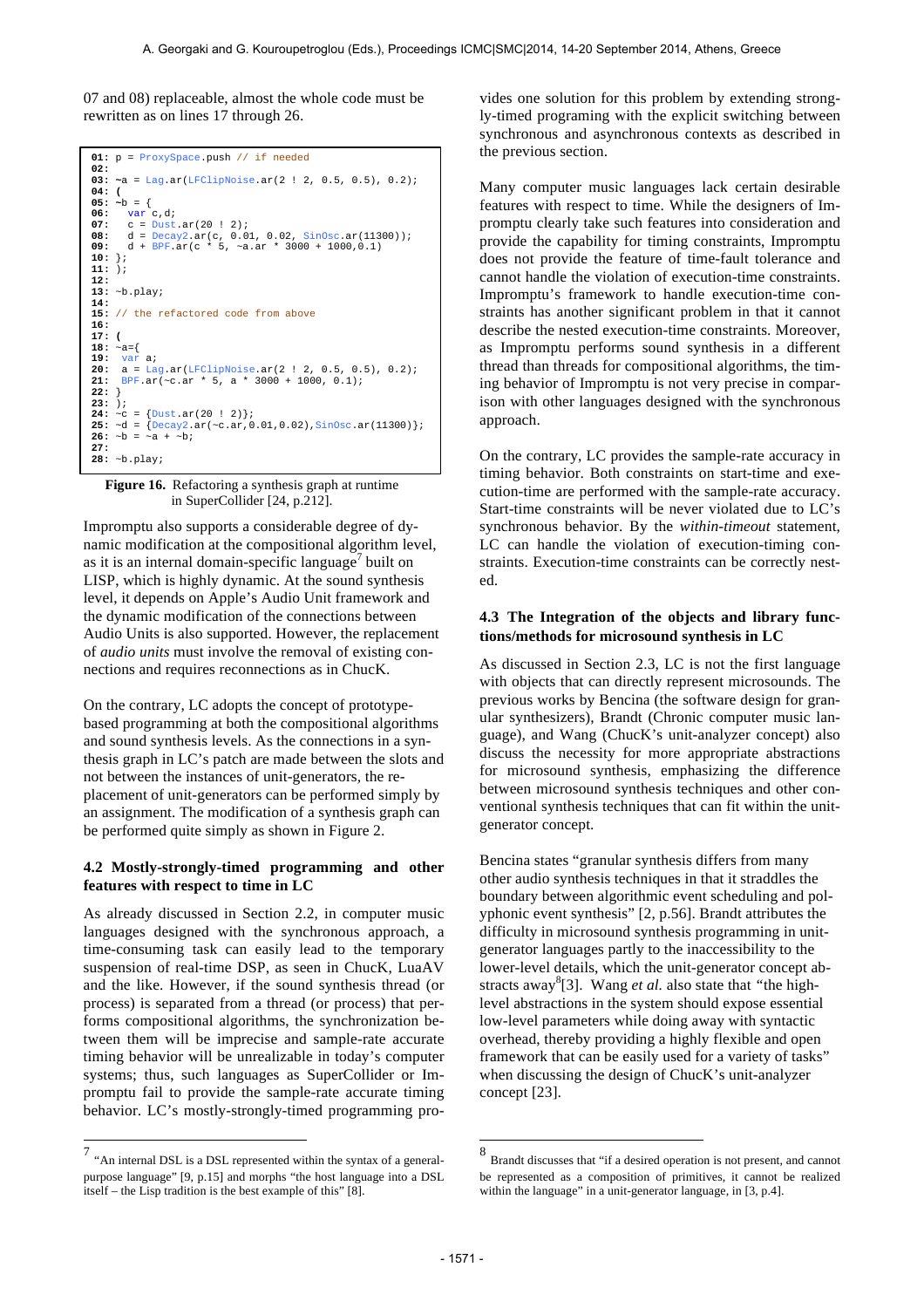07 and 08) replaceable, almost the whole code must be rewritten as on lines 17 through 26.

```
01: p = ProxySpace.push // if needed 
02: 
03: ~a = Lag.ar(LFClipNoise.ar(2 ! 2, 0.5, 0.5), 0.2);
04: (
05: ~b = \{06: var c,d;<br>07: c = Dust.ar(20 ! 2);<br>08: d = Decay2.ar(c, 0.01, 0.02, SinOsc.ar(11300));<br>09: d + BPF.ar(c * 5, ~a.ar * 3000 + 1000,0.1)
10: };
11: ); 
12:
13: ~b.play; 
14: 
15: // the refactored code from above
16:
17: (
18: \sim a = \{19: var a;<br>20: a = Lag.ar(LFClipNoise.ar(2 ! 2, 0.5, 0.5), 0.2);<br>21: BPF.ar(~c.ar * 5, a * 3000 + 1000, 0.1);
\begin{bmatrix} 22: \\ 23: \end{bmatrix}23: );<br>24: ~c = {Dust.ar(20 ! 2)};<br>25: ~d = {Decay2.ar(~c.ar,0.01,0.02),SinOsc.ar(11300)};<br>26: ~b = ~a + ~b;
27: 
28: ~b.play;
```
**Figure 16.** Refactoring a synthesis graph at runtime in SuperCollider [24, p.212].

Impromptu also supports a considerable degree of dynamic modification at the compositional algorithm level, as it is an internal domain-specific language<sup>7</sup> built on LISP, which is highly dynamic. At the sound synthesis level, it depends on Apple's Audio Unit framework and the dynamic modification of the connections between Audio Units is also supported. However, the replacement of *audio units* must involve the removal of existing connections and requires reconnections as in ChucK.

On the contrary, LC adopts the concept of prototypebased programming at both the compositional algorithms and sound synthesis levels. As the connections in a synthesis graph in LC's patch are made between the slots and not between the instances of unit-generators*,* the replacement of unit-generators can be performed simply by an assignment. The modification of a synthesis graph can be performed quite simply as shown in Figure 2.

### **4.2 Mostly-strongly-timed programming and other features with respect to time in LC**

As already discussed in Section 2.2, in computer music languages designed with the synchronous approach, a time-consuming task can easily lead to the temporary suspension of real-time DSP, as seen in ChucK, LuaAV and the like. However, if the sound synthesis thread (or process) is separated from a thread (or process) that performs compositional algorithms, the synchronization between them will be imprecise and sample-rate accurate timing behavior will be unrealizable in today's computer systems; thus, such languages as SuperCollider or Impromptu fail to provide the sample-rate accurate timing behavior. LC's mostly-strongly-timed programming provides one solution for this problem by extending strongly-timed programing with the explicit switching between synchronous and asynchronous contexts as described in the previous section.

Many computer music languages lack certain desirable features with respect to time. While the designers of Impromptu clearly take such features into consideration and provide the capability for timing constraints, Impromptu does not provide the feature of time-fault tolerance and cannot handle the violation of execution-time constraints. Impromptu's framework to handle execution-time constraints has another significant problem in that it cannot describe the nested execution-time constraints. Moreover, as Impromptu performs sound synthesis in a different thread than threads for compositional algorithms, the timing behavior of Impromptu is not very precise in comparison with other languages designed with the synchronous approach.

On the contrary, LC provides the sample-rate accuracy in timing behavior. Both constraints on start-time and execution-time are performed with the sample-rate accuracy. Start-time constraints will be never violated due to LC's synchronous behavior. By the *within-timeout* statement, LC can handle the violation of execution-timing constraints. Execution-time constraints can be correctly nested.

#### **4.3 The Integration of the objects and library functions/methods for microsound synthesis in LC**

As discussed in Section 2.3, LC is not the first language with objects that can directly represent microsounds. The previous works by Bencina (the software design for granular synthesizers), Brandt (Chronic computer music language), and Wang (ChucK's unit-analyzer concept) also discuss the necessity for more appropriate abstractions for microsound synthesis, emphasizing the difference between microsound synthesis techniques and other conventional synthesis techniques that can fit within the unitgenerator concept.

Bencina states "granular synthesis differs from many other audio synthesis techniques in that it straddles the boundary between algorithmic event scheduling and polyphonic event synthesis" [2, p.56]. Brandt attributes the difficulty in microsound synthesis programming in unitgenerator languages partly to the inaccessibility to the lower-level details, which the unit-generator concept abstracts away<sup>8</sup>[3]. Wang *et al.* also state that "the highlevel abstractions in the system should expose essential low-level parameters while doing away with syntactic overhead, thereby providing a highly flexible and open framework that can be easily used for a variety of tasks" when discussing the design of ChucK's unit-analyzer concept [23].

 7 "An internal DSL is a DSL represented within the syntax of a generalpurpose language" [9, p.15] and morphs "the host language into a DSL itself – the Lisp tradition is the best example of this" [8].

 8 Brandt discusses that "if a desired operation is not present, and cannot be represented as a composition of primitives, it cannot be realized within the language" in a unit-generator language, in [3, p.4].